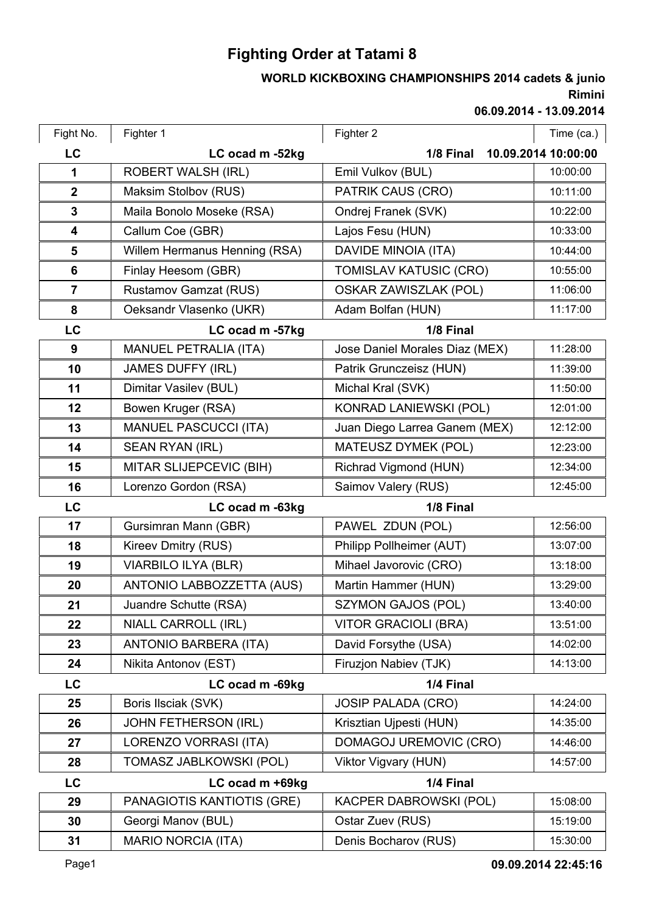## **Fighting Order at Tatami 8**

## **Rimini WORLD KICKBOXING CHAMPIONSHIPS 2014 cadets & junio**

**06.09.2014 - 13.09.2014**

| Fight No.      | Fighter 1                     | Fighter 2                      | Time (ca.)          |
|----------------|-------------------------------|--------------------------------|---------------------|
| LC             | LC ocad m -52kg               | 1/8 Final                      | 10.09.2014 10:00:00 |
| $\mathbf 1$    | <b>ROBERT WALSH (IRL)</b>     | Emil Vulkov (BUL)              | 10:00:00            |
| $\mathbf{2}$   | Maksim Stolbov (RUS)          | PATRIK CAUS (CRO)              | 10:11:00            |
| $\mathbf{3}$   | Maila Bonolo Moseke (RSA)     | Ondrej Franek (SVK)            | 10:22:00            |
| 4              | Callum Coe (GBR)              | Lajos Fesu (HUN)               | 10:33:00            |
| 5              | Willem Hermanus Henning (RSA) | DAVIDE MINOIA (ITA)            | 10:44:00            |
| 6              | Finlay Heesom (GBR)           | <b>TOMISLAV KATUSIC (CRO)</b>  | 10:55:00            |
| $\overline{7}$ | Rustamov Gamzat (RUS)         | <b>OSKAR ZAWISZLAK (POL)</b>   | 11:06:00            |
| 8              | Oeksandr Vlasenko (UKR)       | Adam Bolfan (HUN)              | 11:17:00            |
| LC             | LC ocad m -57kg               | 1/8 Final                      |                     |
| 9              | <b>MANUEL PETRALIA (ITA)</b>  | Jose Daniel Morales Diaz (MEX) | 11:28:00            |
| 10             | <b>JAMES DUFFY (IRL)</b>      | Patrik Grunczeisz (HUN)        | 11:39:00            |
| 11             | Dimitar Vasilev (BUL)         | Michal Kral (SVK)              | 11:50:00            |
| 12             | Bowen Kruger (RSA)            | KONRAD LANIEWSKI (POL)         | 12:01:00            |
| 13             | <b>MANUEL PASCUCCI (ITA)</b>  | Juan Diego Larrea Ganem (MEX)  | 12:12:00            |
| 14             | <b>SEAN RYAN (IRL)</b>        | MATEUSZ DYMEK (POL)            | 12:23:00            |
| 15             | MITAR SLIJEPCEVIC (BIH)       | Richrad Vigmond (HUN)          | 12:34:00            |
| 16             | Lorenzo Gordon (RSA)          | Saimov Valery (RUS)            | 12:45:00            |
| <b>LC</b>      | LC ocad m -63kg               | 1/8 Final                      |                     |
| 17             | Gursimran Mann (GBR)          | PAWEL ZDUN (POL)               | 12:56:00            |
| 18             | Kireev Dmitry (RUS)           | Philipp Pollheimer (AUT)       | 13:07:00            |
| 19             | <b>VIARBILO ILYA (BLR)</b>    | Mihael Javorovic (CRO)         | 13:18:00            |
| 20             | ANTONIO LABBOZZETTA (AUS)     | Martin Hammer (HUN)            | 13:29:00            |
| 21             | Juandre Schutte (RSA)         | <b>SZYMON GAJOS (POL)</b>      | 13:40:00            |
| 22             | NIALL CARROLL (IRL)           | <b>VITOR GRACIOLI (BRA)</b>    | 13:51:00            |
| 23             | <b>ANTONIO BARBERA (ITA)</b>  | David Forsythe (USA)           | 14:02:00            |
| 24             | Nikita Antonov (EST)          | Firuzion Nabiev (TJK)          | 14:13:00            |
| LC             | LC ocad m -69kg               | 1/4 Final                      |                     |
| 25             | Boris Ilsciak (SVK)           | <b>JOSIP PALADA (CRO)</b>      | 14:24:00            |
| 26             | <b>JOHN FETHERSON (IRL)</b>   | Krisztian Ujpesti (HUN)        | 14:35:00            |
| 27             | <b>LORENZO VORRASI (ITA)</b>  | DOMAGOJ UREMOVIC (CRO)         | 14:46:00            |
| 28             | TOMASZ JABLKOWSKI (POL)       | Viktor Vigvary (HUN)           | 14:57:00            |
| <b>LC</b>      | LC ocad m +69kg               | 1/4 Final                      |                     |
| 29             | PANAGIOTIS KANTIOTIS (GRE)    | <b>KACPER DABROWSKI (POL)</b>  | 15:08:00            |
| 30             | Georgi Manov (BUL)            | Ostar Zuev (RUS)               | 15:19:00            |
| 31             | <b>MARIO NORCIA (ITA)</b>     | Denis Bocharov (RUS)           | 15:30:00            |